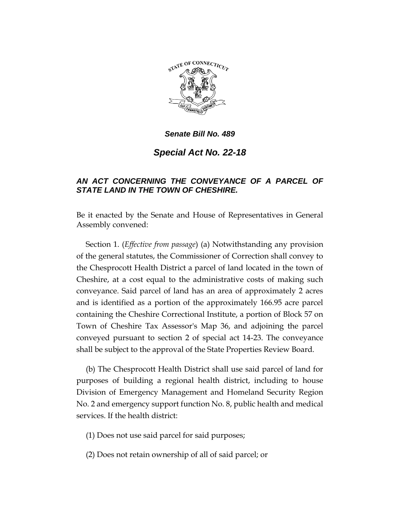

*Senate Bill No. 489*

*Special Act No. 22-18*

## *AN ACT CONCERNING THE CONVEYANCE OF A PARCEL OF STATE LAND IN THE TOWN OF CHESHIRE.*

Be it enacted by the Senate and House of Representatives in General Assembly convened:

Section 1. (*Effective from passage*) (a) Notwithstanding any provision of the general statutes, the Commissioner of Correction shall convey to the Chesprocott Health District a parcel of land located in the town of Cheshire, at a cost equal to the administrative costs of making such conveyance. Said parcel of land has an area of approximately 2 acres and is identified as a portion of the approximately 166.95 acre parcel containing the Cheshire Correctional Institute, a portion of Block 57 on Town of Cheshire Tax Assessor's Map 36, and adjoining the parcel conveyed pursuant to section 2 of special act 14-23. The conveyance shall be subject to the approval of the State Properties Review Board.

(b) The Chesprocott Health District shall use said parcel of land for purposes of building a regional health district, including to house Division of Emergency Management and Homeland Security Region No. 2 and emergency support function No. 8, public health and medical services. If the health district:

(1) Does not use said parcel for said purposes;

(2) Does not retain ownership of all of said parcel; or